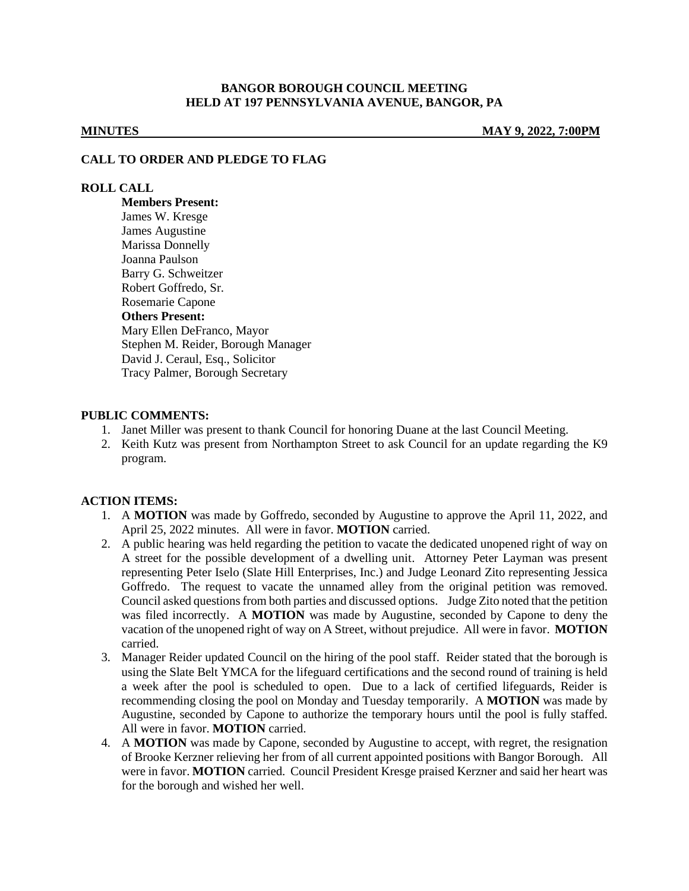### **BANGOR BOROUGH COUNCIL MEETING HELD AT 197 PENNSYLVANIA AVENUE, BANGOR, PA**

**MINUTES MAY 9, 2022, 7:00PM**

#### **CALL TO ORDER AND PLEDGE TO FLAG**

### **ROLL CALL**

**Members Present:** James W. Kresge James Augustine Marissa Donnelly Joanna Paulson Barry G. Schweitzer Robert Goffredo, Sr. Rosemarie Capone **Others Present:** Mary Ellen DeFranco, Mayor Stephen M. Reider, Borough Manager David J. Ceraul, Esq., Solicitor Tracy Palmer, Borough Secretary

## **PUBLIC COMMENTS:**

- 1. Janet Miller was present to thank Council for honoring Duane at the last Council Meeting.
- 2. Keith Kutz was present from Northampton Street to ask Council for an update regarding the K9 program.

## **ACTION ITEMS:**

- 1. A **MOTION** was made by Goffredo, seconded by Augustine to approve the April 11, 2022, and April 25, 2022 minutes. All were in favor. **MOTION** carried.
- 2. A public hearing was held regarding the petition to vacate the dedicated unopened right of way on A street for the possible development of a dwelling unit. Attorney Peter Layman was present representing Peter Iselo (Slate Hill Enterprises, Inc.) and Judge Leonard Zito representing Jessica Goffredo. The request to vacate the unnamed alley from the original petition was removed. Council asked questions from both parties and discussed options. Judge Zito noted that the petition was filed incorrectly. A **MOTION** was made by Augustine, seconded by Capone to deny the vacation of the unopened right of way on A Street, without prejudice. All were in favor. **MOTION** carried.
- 3. Manager Reider updated Council on the hiring of the pool staff. Reider stated that the borough is using the Slate Belt YMCA for the lifeguard certifications and the second round of training is held a week after the pool is scheduled to open. Due to a lack of certified lifeguards, Reider is recommending closing the pool on Monday and Tuesday temporarily. A **MOTION** was made by Augustine, seconded by Capone to authorize the temporary hours until the pool is fully staffed. All were in favor. **MOTION** carried.
- 4. A **MOTION** was made by Capone, seconded by Augustine to accept, with regret, the resignation of Brooke Kerzner relieving her from of all current appointed positions with Bangor Borough. All were in favor. **MOTION** carried. Council President Kresge praised Kerzner and said her heart was for the borough and wished her well.